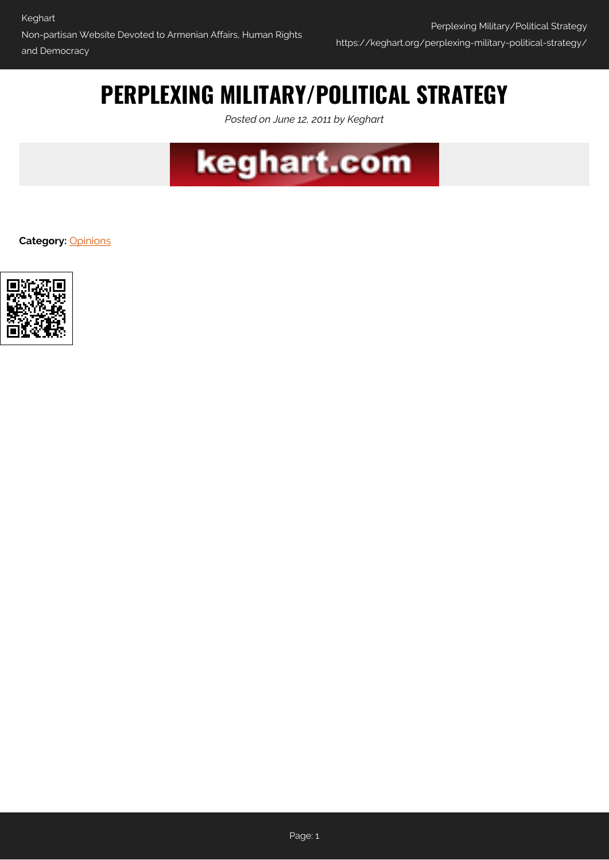## **PERPLEXING MILITARY/POLITICAL STRATEGY**

*Posted on June 12, 2011 by Keghart*



**Category:** [Opinions](https://keghart.org/category/opinions/)

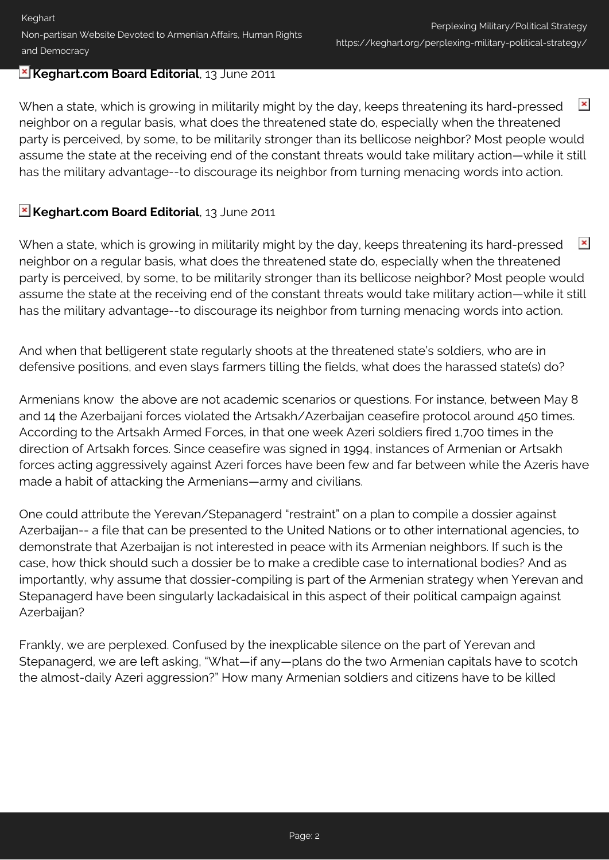## **Keghart.com Board Editorial**, 13 June 2011

 $\pmb{\times}$ When a state, which is growing in militarily might by the day, keeps threatening its hard-pressed neighbor on a regular basis, what does the threatened state do, especially when the threatened party is perceived, by some, to be militarily stronger than its bellicose neighbor? Most people would assume the state at the receiving end of the constant threats would take military action—while it still has the military advantage--to discourage its neighbor from turning menacing words into action.

## **E Keghart.com Board Editorial**, 13 June 2011

 $\pmb{\times}$ When a state, which is growing in militarily might by the day, keeps threatening its hard-pressed neighbor on a regular basis, what does the threatened state do, especially when the threatened party is perceived, by some, to be militarily stronger than its bellicose neighbor? Most people would assume the state at the receiving end of the constant threats would take military action—while it still has the military advantage--to discourage its neighbor from turning menacing words into action.

And when that belligerent state regularly shoots at the threatened state's soldiers, who are in defensive positions, and even slays farmers tilling the fields, what does the harassed state(s) do?

Armenians know the above are not academic scenarios or questions. For instance, between May 8 and 14 the Azerbaijani forces violated the Artsakh/Azerbaijan ceasefire protocol around 450 times. According to the Artsakh Armed Forces, in that one week Azeri soldiers fired 1,700 times in the direction of Artsakh forces. Since ceasefire was signed in 1994, instances of Armenian or Artsakh forces acting aggressively against Azeri forces have been few and far between while the Azeris have made a habit of attacking the Armenians—army and civilians.

One could attribute the Yerevan/Stepanagerd "restraint" on a plan to compile a dossier against Azerbaijan-- a file that can be presented to the United Nations or to other international agencies, to demonstrate that Azerbaijan is not interested in peace with its Armenian neighbors. If such is the case, how thick should such a dossier be to make a credible case to international bodies? And as importantly, why assume that dossier-compiling is part of the Armenian strategy when Yerevan and Stepanagerd have been singularly lackadaisical in this aspect of their political campaign against Azerbaijan?

Frankly, we are perplexed. Confused by the inexplicable silence on the part of Yerevan and Stepanagerd, we are left asking, "What—if any—plans do the two Armenian capitals have to scotch the almost-daily Azeri aggression?" How many Armenian soldiers and citizens have to be killed